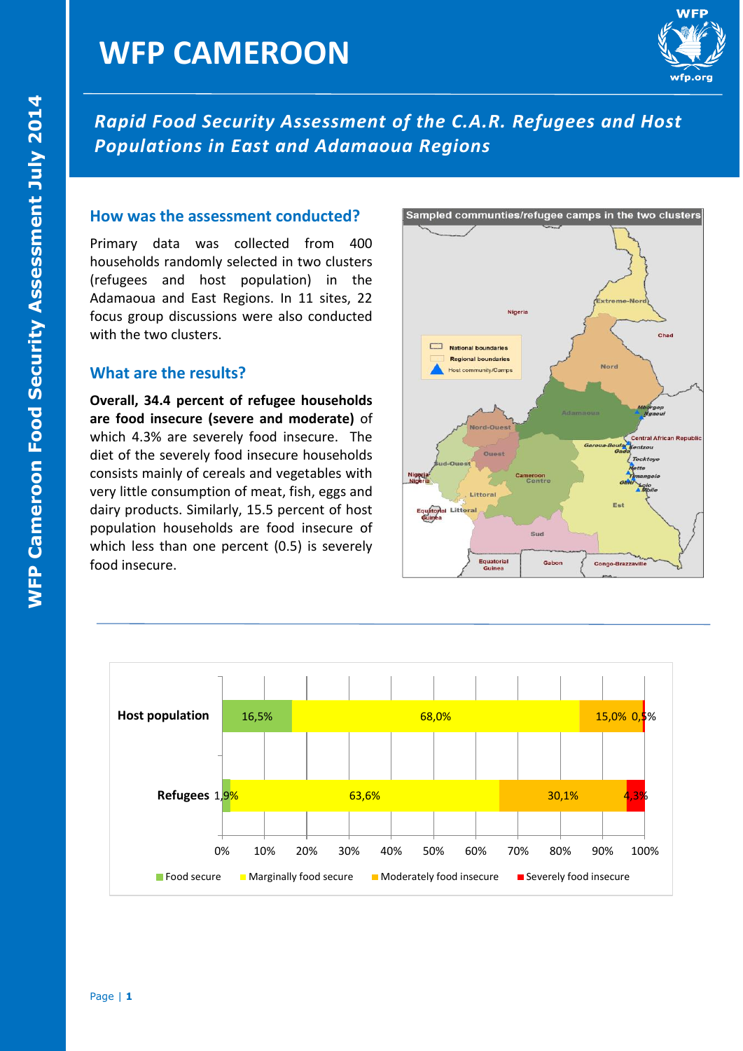

*Rapid Food Security Assessment of the C.A.R. Refugees and Host Populations in East and Adamaoua Regions* 

#### **How was the assessment conducted?**

Primary data was collected from 400 households randomly selected in two clusters (refugees and host population) in the Adamaoua and East Regions. In 11 sites, 22 focus group discussions were also conducted with the two clusters.

#### **What are the results?**

**Overall, 34.4 percent of refugee households are food insecure (severe and moderate)** of which 4.3% are severely food insecure. The diet of the severely food insecure households consists mainly of cereals and vegetables with very little consumption of meat, fish, eggs and dairy products. Similarly, 15.5 percent of host population households are food insecure of which less than one percent (0.5) is severely food insecure.





#### Sampled communties/refugee camps in the two clusters